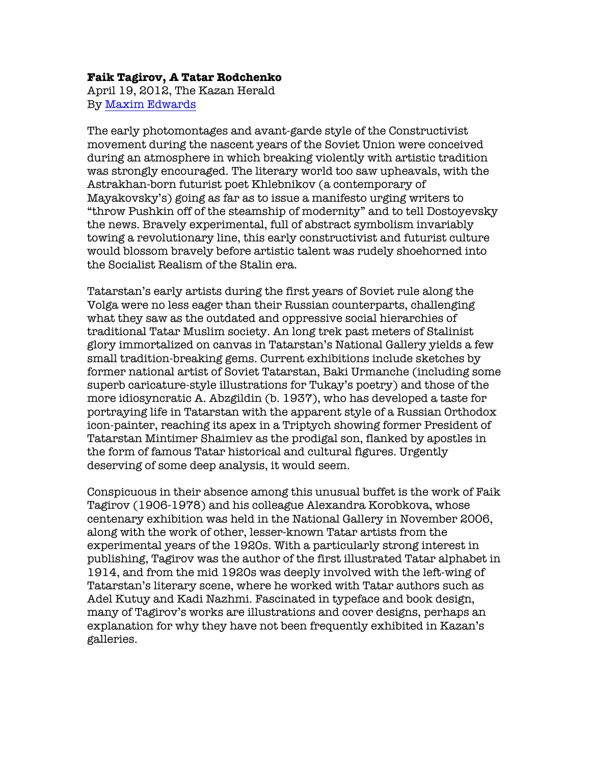## **Faik Tagirov, A Tatar Rodchenko**

April 19, 2012, The Kazan Herald By Maxim Edwards

The early photomontages and avant-garde style of the Constructivist movement during the nascent years of the Soviet Union were conceived during an atmosphere in which breaking violently with artistic tradition was strongly encouraged. The literary world too saw upheavals, with the Astrakhan-born futurist poet Khlebnikov (a contemporary of Mayakovsky's) going as far as to issue a manifesto urging writers to "throw Pushkin off of the steamship of modernity" and to tell Dostoyevsky the news. Bravely experimental, full of abstract symbolism invariably towing a revolutionary line, this early constructivist and futurist culture would blossom bravely before artistic talent was rudely shoehorned into the Socialist Realism of the Stalin era.

Tatarstan's early artists during the first years of Soviet rule along the Volga were no less eager than their Russian counterparts, challenging what they saw as the outdated and oppressive social hierarchies of traditional Tatar Muslim society. An long trek past meters of Stalinist glory immortalized on canvas in Tatarstan's National Gallery yields a few small tradition-breaking gems. Current exhibitions include sketches by former national artist of Soviet Tatarstan, Baki Urmanche (including some superb caricature-style illustrations for Tukay's poetry) and those of the more idiosyncratic A. Abzgildin (b. 1937), who has developed a taste for portraying life in Tatarstan with the apparent style of a Russian Orthodox icon-painter, reaching its apex in a Triptych showing former President of Tatarstan Mintimer Shaimiev as the prodigal son, flanked by apostles in the form of famous Tatar historical and cultural figures. Urgently deserving of some deep analysis, it would seem.

Conspicuous in their absence among this unusual buffet is the work of Faik Tagirov (1906-1978) and his colleague Alexandra Korobkova, whose centenary exhibition was held in the National Gallery in November 2006, along with the work of other, lesser-known Tatar artists from the experimental years of the 1920s. With a particularly strong interest in publishing, Tagirov was the author of the first illustrated Tatar alphabet in 1914, and from the mid 1920s was deeply involved with the left-wing of Tatarstan's literary scene, where he worked with Tatar authors such as Adel Kutuy and Kadi Nazhmi. Fascinated in typeface and book design, many of Tagirov's works are illustrations and cover designs, perhaps an explanation for why they have not been frequently exhibited in Kazan's galleries.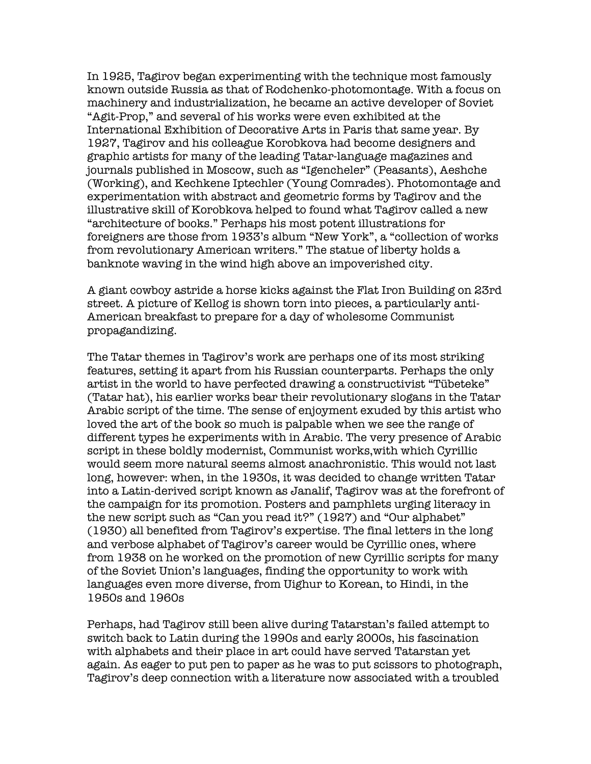In 1925, Tagirov began experimenting with the technique most famously known outside Russia as that of Rodchenko-photomontage. With a focus on machinery and industrialization, he became an active developer of Soviet "Agit-Prop," and several of his works were even exhibited at the International Exhibition of Decorative Arts in Paris that same year. By 1927, Tagirov and his colleague Korobkova had become designers and graphic artists for many of the leading Tatar-language magazines and journals published in Moscow, such as "Igencheler" (Peasants), Aeshche (Working), and Kechkene Iptechler (Young Comrades). Photomontage and experimentation with abstract and geometric forms by Tagirov and the illustrative skill of Korobkova helped to found what Tagirov called a new "architecture of books." Perhaps his most potent illustrations for foreigners are those from 1933's album "New York", a "collection of works from revolutionary American writers." The statue of liberty holds a banknote waving in the wind high above an impoverished city.

A giant cowboy astride a horse kicks against the Flat Iron Building on 23rd street. A picture of Kellog is shown torn into pieces, a particularly anti-American breakfast to prepare for a day of wholesome Communist propagandizing.

The Tatar themes in Tagirov's work are perhaps one of its most striking features, setting it apart from his Russian counterparts. Perhaps the only artist in the world to have perfected drawing a constructivist "Tübeteke" (Tatar hat), his earlier works bear their revolutionary slogans in the Tatar Arabic script of the time. The sense of enjoyment exuded by this artist who loved the art of the book so much is palpable when we see the range of different types he experiments with in Arabic. The very presence of Arabic script in these boldly modernist, Communist works,with which Cyrillic would seem more natural seems almost anachronistic. This would not last long, however: when, in the 1930s, it was decided to change written Tatar into a Latin-derived script known as Janalif, Tagirov was at the forefront of the campaign for its promotion. Posters and pamphlets urging literacy in the new script such as "Can you read it?" (1927) and "Our alphabet" (1930) all benefited from Tagirov's expertise. The final letters in the long and verbose alphabet of Tagirov's career would be Cyrillic ones, where from 1938 on he worked on the promotion of new Cyrillic scripts for many of the Soviet Union's languages, finding the opportunity to work with languages even more diverse, from Uighur to Korean, to Hindi, in the 1950s and 1960s

Perhaps, had Tagirov still been alive during Tatarstan's failed attempt to switch back to Latin during the 1990s and early 2000s, his fascination with alphabets and their place in art could have served Tatarstan yet again. As eager to put pen to paper as he was to put scissors to photograph, Tagirov's deep connection with a literature now associated with a troubled